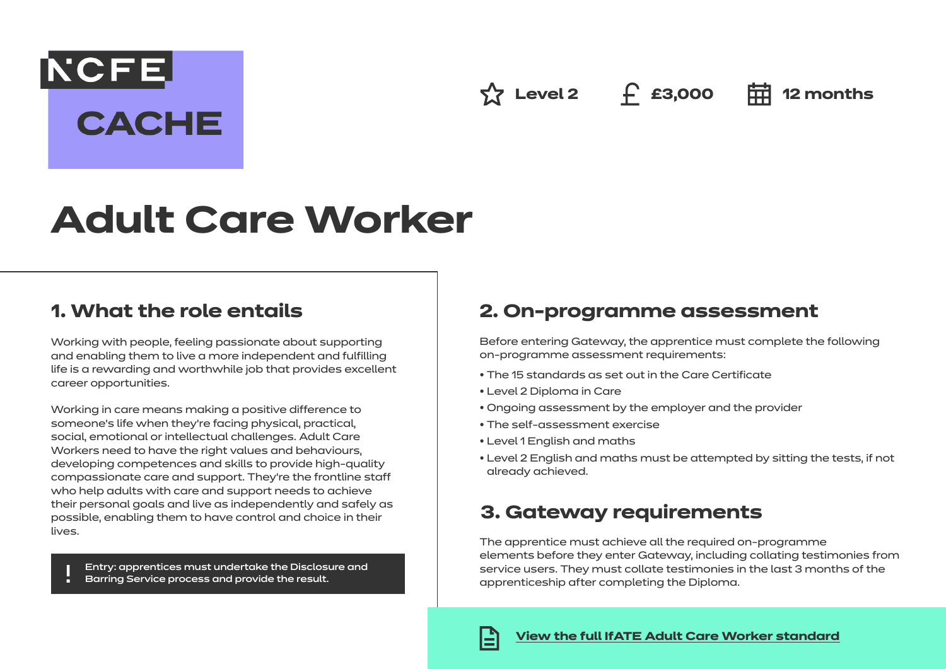**NCFE CACHE** 

**Level 2 £3,000 12 months**

# **Adult Care Worker**

# **1. What the role entails**

Working with people, feeling passionate about supporting and enabling them to live a more independent and fulfilling life is a rewarding and worthwhile job that provides excellent career opportunities.

Working in care means making a positive difference to someone's life when they're facing physical, practical, social, emotional or intellectual challenges. Adult Care Workers need to have the right values and behaviours, developing competences and skills to provide high-quality compassionate care and support. They're the frontline staff who help adults with care and support needs to achieve their personal goals and live as independently and safely as possible, enabling them to have control and choice in their lives.

Entry: apprentices must undertake the Disclosure and Barring Service process and provide the result.

## **2. On-programme assessment**

Before entering Gateway, the apprentice must complete the following on-programme assessment requirements:

- The 15 standards as set out in the Care Certificate
- Level 2 Diploma in Care
- Ongoing assessment by the employer and the provider
- The self-assessment exercise
- Level 1 English and maths
- Level 2 English and maths must be attempted by sitting the tests, if not already achieved.

## **3. Gateway requirements**

The apprentice must achieve all the required on-programme elements before they enter Gateway, including collating testimonies from service users. They must collate testimonies in the last 3 months of the apprenticeship after completing the Diploma.